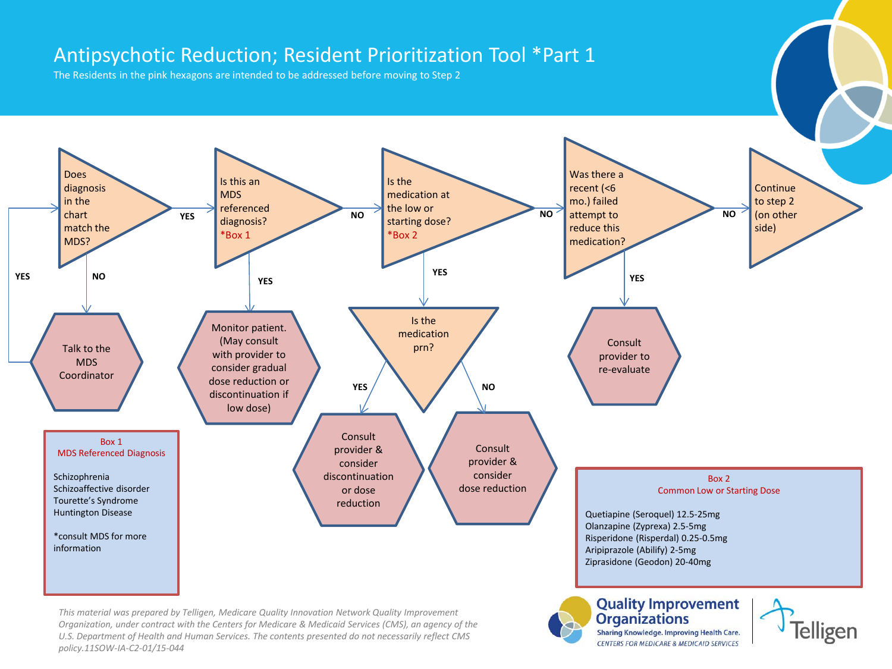## Antipsychotic Reduction; Resident Prioritization Tool \*Part 1

The Residents in the pink hexagons are intended to be addressed before moving to Step 2



CENTERS FOR MEDICARE & MEDICAID SERVICES

*U.S. Department of Health and Human Services. The contents presented do not necessarily reflect CMS policy.11SOW-IA-C2-01/15-044*